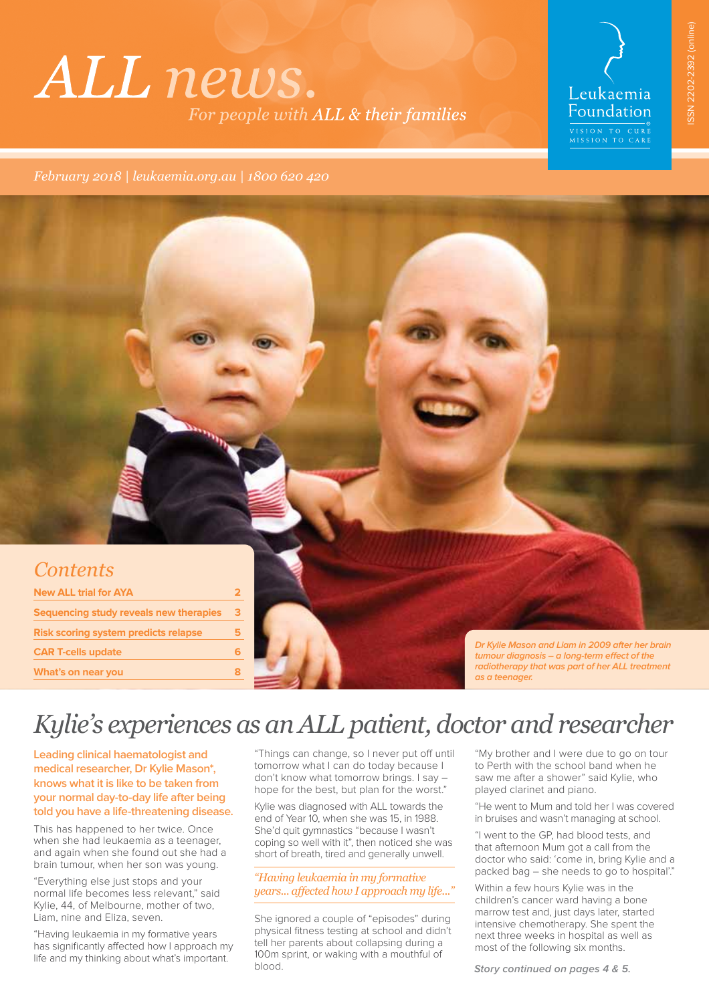# ALL news. For people with ALL & their families

# Leukaemia Foundation EXTRA THE STREET OF STREET TO CURE<br>MISSION TO CARE

*February 2018 | leukaemia.org.au | 1800 620 420*



## *Kylie's experiences as an ALL patient, doctor and researcher*

**Leading clinical haematologist and medical researcher, Dr Kylie Mason\*, knows what it is like to be taken from your normal day-to-day life after being told you have a life-threatening disease.** 

This has happened to her twice. Once when she had leukaemia as a teenager, and again when she found out she had a brain tumour, when her son was young.

"Everything else just stops and your normal life becomes less relevant," said Kylie, 44, of Melbourne, mother of two, Liam, nine and Eliza, seven.

"Having leukaemia in my formative years has significantly afected how I approach my life and my thinking about what's important.

"Things can change, so I never put off until tomorrow what I can do today because I don't know what tomorrow brings. I say – hope for the best, but plan for the worst."

Kylie was diagnosed with ALL towards the end of Year 10, when she was 15, in 1988. She'd quit gymnastics "because I wasn't coping so well with it", then noticed she was short of breath, tired and generally unwell.

### *"Having leukaemia in my formative years... afected how I approach my life..."*

She ignored a couple of "episodes" during physical fitness testing at school and didn't tell her parents about collapsing during a 100m sprint, or waking with a mouthful of blood.

"My brother and I were due to go on tour to Perth with the school band when he saw me after a shower" said Kylie, who played clarinet and piano.

"He went to Mum and told her I was covered in bruises and wasn't managing at school.

"I went to the GP, had blood tests, and that afternoon Mum got a call from the doctor who said: 'come in, bring Kylie and a packed bag – she needs to go to hospital'."

Within a few hours Kylie was in the children's cancer ward having a bone marrow test and, just days later, started intensive chemotherapy. She spent the next three weeks in hospital as well as most of the following six months.

**Story continued on pages 4 & 5.**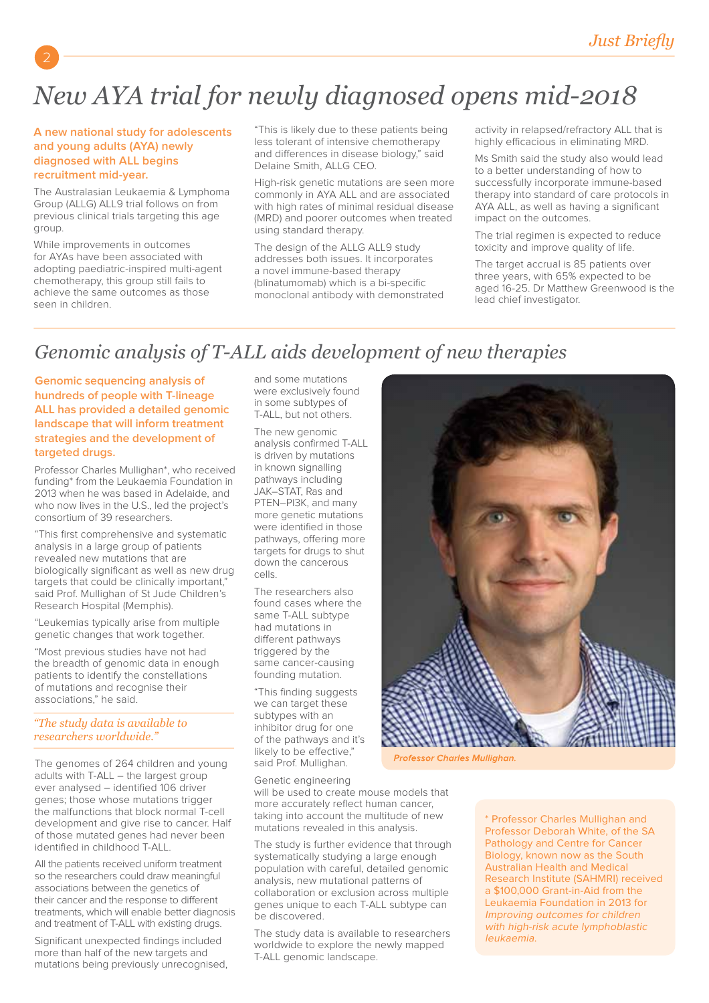# *New AYA trial for newly diagnosed opens mid-2018*

### **A new national study for adolescents and young adults (AYA) newly diagnosed with ALL begins recruitment mid-year.**

The Australasian Leukaemia & Lymphoma Group (ALLG) ALL9 trial follows on from previous clinical trials targeting this age group.

While improvements in outcomes for AYAs have been associated with adopting paediatric-inspired multi-agent chemotherapy, this group still fails to achieve the same outcomes as those seen in children.

"This is likely due to these patients being less tolerant of intensive chemotherapy and diferences in disease biology," said Delaine Smith, ALLG CEO.

High-risk genetic mutations are seen more commonly in AYA ALL and are associated with high rates of minimal residual disease (MRD) and poorer outcomes when treated using standard therapy.

The design of the ALLG ALL9 study addresses both issues. It incorporates a novel immune-based therapy (blinatumomab) which is a bi-specific monoclonal antibody with demonstrated activity in relapsed/refractory ALL that is highly efficacious in eliminating MRD.

Ms Smith said the study also would lead to a better understanding of how to successfully incorporate immune-based therapy into standard of care protocols in AYA ALL, as well as having a significant impact on the outcomes.

The trial regimen is expected to reduce toxicity and improve quality of life.

The target accrual is 85 patients over three years, with 65% expected to be aged 16-25. Dr Matthew Greenwood is the lead chief investigator.

## *Genomic analysis of T-ALL aids development of new therapies*

**Genomic sequencing analysis of hundreds of people with T-lineage ALL has provided a detailed genomic landscape that will inform treatment strategies and the development of targeted drugs.**

Professor Charles Mullighan\*, who received funding\* from the Leukaemia Foundation in 2013 when he was based in Adelaide, and who now lives in the U.S., led the project's consortium of 39 researchers.

"This first comprehensive and systematic analysis in a large group of patients revealed new mutations that are biologically significant as well as new drug targets that could be clinically important," said Prof. Mullighan of St Jude Children's Research Hospital (Memphis).

"Leukemias typically arise from multiple genetic changes that work together.

"Most previous studies have not had the breadth of genomic data in enough patients to identify the constellations of mutations and recognise their associations," he said.

*"The study data is available to researchers worldwide."*

The genomes of 264 children and young adults with T-ALL – the largest group ever analysed – identified 106 driver genes; those whose mutations trigger the malfunctions that block normal T-cell development and give rise to cancer. Half of those mutated genes had never been identified in childhood T-ALL.

All the patients received uniform treatment so the researchers could draw meaningful associations between the genetics of their cancer and the response to diferent treatments, which will enable better diagnosis and treatment of T-ALL with existing drugs.

Significant unexpected findings included more than half of the new targets and mutations being previously unrecognised, and some mutations were exclusively found in some subtypes of T-ALL, but not others.

The new genomic analysis confirmed T-ALL is driven by mutations in known signalling pathways including JAK–STAT, Ras and PTEN–PI3K, and many more genetic mutations were identified in those pathways, offering more targets for drugs to shut down the cancerous cells.

The researchers also found cases where the same T-ALL subtype had mutations in diferent pathways triggered by the same cancer-causing founding mutation.

"This finding suggests we can target these subtypes with an inhibitor drug for one of the pathways and it's likely to be efective," said Prof. Mullighan.



Professor Charles Mullighan.

Genetic engineering

will be used to create mouse models that more accurately reflect human cancer, taking into account the multitude of new mutations revealed in this analysis.

The study is further evidence that through systematically studying a large enough population with careful, detailed genomic analysis, new mutational patterns of collaboration or exclusion across multiple genes unique to each T-ALL subtype can be discovered.

The study data is available to researchers worldwide to explore the newly mapped T-ALL genomic landscape.

\* Professor Charles Mullighan and Professor Deborah White, of the SA Pathology and Centre for Cancer Biology, known now as the South Australian Health and Medical Research Institute (SAHMRI) received a \$100,000 Grant-in-Aid from the Leukaemia Foundation in 2013 for Improving outcomes for children with high-risk acute lymphoblastic leukaemia.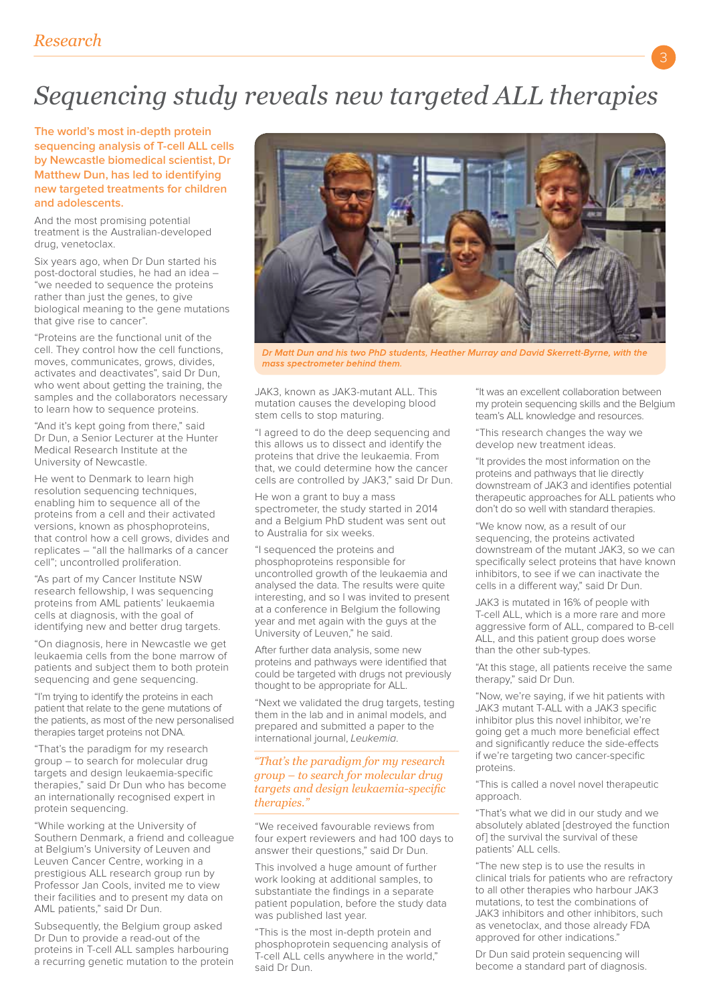# *Sequencing study reveals new targeted ALL therapies*

**The world's most in-depth protein sequencing analysis of T-cell ALL cells by Newcastle biomedical scientist, Dr Matthew Dun, has led to identifying new targeted treatments for children and adolescents.**

And the most promising potential treatment is the Australian-developed drug, venetoclax.

Six years ago, when Dr Dun started his post-doctoral studies, he had an idea – "we needed to sequence the proteins rather than just the genes, to give biological meaning to the gene mutations that give rise to cancer".

"Proteins are the functional unit of the cell. They control how the cell functions, moves, communicates, grows, divides, activates and deactivates", said Dr Dun, who went about getting the training, the samples and the collaborators necessary to learn how to sequence proteins.

"And it's kept going from there," said Dr Dun, a Senior Lecturer at the Hunter Medical Research Institute at the University of Newcastle.

He went to Denmark to learn high resolution sequencing techniques, enabling him to sequence all of the proteins from a cell and their activated versions, known as phosphoproteins, that control how a cell grows, divides and replicates – "all the hallmarks of a cancer cell"; uncontrolled proliferation.

"As part of my Cancer Institute NSW research fellowship, I was sequencing proteins from AML patients' leukaemia cells at diagnosis, with the goal of identifying new and better drug targets.

"On diagnosis, here in Newcastle we get leukaemia cells from the bone marrow of patients and subject them to both protein sequencing and gene sequencing.

"I'm trying to identify the proteins in each patient that relate to the gene mutations of the patients, as most of the new personalised therapies target proteins not DNA.

"That's the paradigm for my research group – to search for molecular drug targets and design leukaemia-specific therapies," said Dr Dun who has become an internationally recognised expert in protein sequencing.

"While working at the University of Southern Denmark, a friend and colleague at Belgium's University of Leuven and Leuven Cancer Centre, working in a prestigious ALL research group run by Professor Jan Cools, invited me to view their facilities and to present my data on AML patients," said Dr Dun.

Subsequently, the Belgium group asked Dr Dun to provide a read-out of the proteins in T-cell ALL samples harbouring a recurring genetic mutation to the protein



Dr Matt Dun and his two PhD students, Heather Murray and David Skerrett-Byrne, with the mass spectrometer behind them.

JAK3, known as JAK3-mutant ALL. This mutation causes the developing blood stem cells to stop maturing.

"I agreed to do the deep sequencing and this allows us to dissect and identify the proteins that drive the leukaemia. From .<br>that, we could determine how the cancer cells are controlled by JAK3," said Dr Dun.

He won a grant to buy a mass spectrometer, the study started in 2014 and a Belgium PhD student was sent out to Australia for six weeks.

"I sequenced the proteins and phosphoproteins responsible for uncontrolled growth of the leukaemia and analysed the data. The results were quite interesting, and so I was invited to present at a conference in Belgium the following year and met again with the guys at the University of Leuven," he said.

After further data analysis, some new proteins and pathways were identified that could be targeted with drugs not previously thought to be appropriate for ALL.

"Next we validated the drug targets, testing them in the lab and in animal models, and prepared and submitted a paper to the international journal, Leukemia.

#### *"That's the paradigm for my research group – to search for molecular drug targets and design leukaemia-specifc therapies."*

"We received favourable reviews from four expert reviewers and had 100 days to answer their questions," said Dr Dun.

This involved a huge amount of further work looking at additional samples, to substantiate the findings in a separate patient population, before the study data was published last year.

"This is the most in-depth protein and phosphoprotein sequencing analysis of T-cell ALL cells anywhere in the world," said Dr Dun.

"It was an excellent collaboration between my protein sequencing skills and the Belgium team's ALL knowledge and resources.

"This research changes the way we develop new treatment ideas.

"It provides the most information on the proteins and pathways that lie directly downstream of JAK3 and identifies potential therapeutic approaches for ALL patients who don't do so well with standard therapies.

"We know now, as a result of our sequencing, the proteins activated downstream of the mutant JAK3, so we can specifically select proteins that have known inhibitors, to see if we can inactivate the cells in a diferent way," said Dr Dun.

JAK3 is mutated in 16% of people with T-cell ALL, which is a more rare and more aggressive form of ALL, compared to B-cell ALL, and this patient group does worse than the other sub-types.

"At this stage, all patients receive the same therapy," said Dr Dun.

"Now, we're saying, if we hit patients with JAK3 mutant T-ALL with a JAK3 specific inhibitor plus this novel inhibitor, we're going get a much more beneficial efect and significantly reduce the side-efects if we're targeting two cancer-specific proteins.

"This is called a novel novel therapeutic approach.

"That's what we did in our study and we absolutely ablated [destroyed the function of] the survival the survival of these patients' ALL cells.

"The new step is to use the results in clinical trials for patients who are refractory to all other therapies who harbour JAK3 mutations, to test the combinations of JAK3 inhibitors and other inhibitors, such as venetoclax, and those already FDA approved for other indications."

Dr Dun said protein sequencing will become a standard part of diagnosis.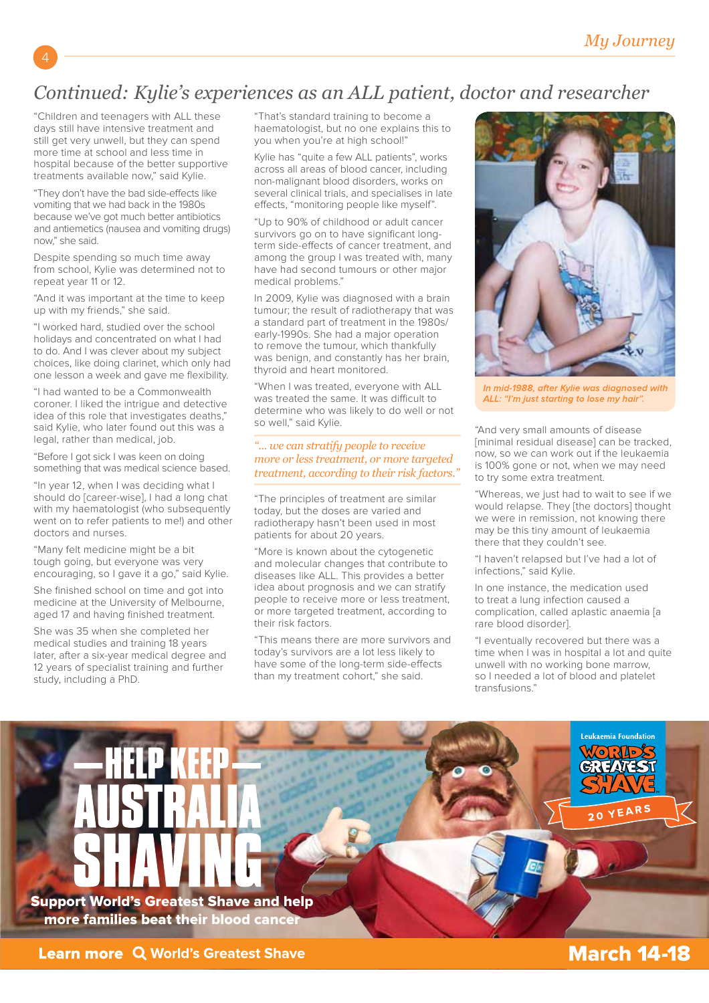## *Continued: Kylie's experiences as an ALL patient, doctor and researcher*

"Children and teenagers with ALL these days still have intensive treatment and still get very unwell, but they can spend more time at school and less time in hospital because of the better supportive treatments available now," said Kylie.

"They don't have the bad side-efects like vomiting that we had back in the 1980s because we've got much better antibiotics and antiemetics (nausea and vomiting drugs) now," she said.

Despite spending so much time away from school, Kylie was determined not to repeat year 11 or 12.

"And it was important at the time to keep up with my friends," she said.

"I worked hard, studied over the school holidays and concentrated on what I had to do. And I was clever about my subject choices, like doing clarinet, which only had one lesson a week and gave me flexibility.

"I had wanted to be a Commonwealth coroner. I liked the intrigue and detective idea of this role that investigates deaths," said Kylie, who later found out this was a legal, rather than medical, job.

"Before I got sick I was keen on doing something that was medical science based.

"In year 12, when I was deciding what I should do [career-wise], I had a long chat with my haematologist (who subsequently went on to refer patients to me!) and other doctors and nurses.

"Many felt medicine might be a bit tough going, but everyone was very encouraging, so I gave it a go," said Kylie.

She finished school on time and got into medicine at the University of Melbourne, aged 17 and having finished treatment.

She was 35 when she completed her medical studies and training 18 years later, after a six-year medical degree and 12 years of specialist training and further study, including a PhD.

"That's standard training to become a haematologist, but no one explains this to you when you're at high school!"

Kylie has "quite a few ALL patients", works across all areas of blood cancer, including non-malignant blood disorders, works on several clinical trials, and specialises in late efects, "monitoring people like myself".

"Up to 90% of childhood or adult cancer survivors go on to have significant longterm side-efects of cancer treatment, and among the group I was treated with, many have had second tumours or other major medical problems."

In 2009, Kylie was diagnosed with a brain tumour; the result of radiotherapy that was a standard part of treatment in the 1980s/ early-1990s. She had a major operation to remove the tumour, which thankfully was benign, and constantly has her brain, thyroid and heart monitored.

"When I was treated, everyone with ALL was treated the same. It was difficult to determine who was likely to do well or not so well," said Kylie.

#### *"... we can stratify people to receive more or less treatment, or more targeted treatment, according to their risk factors."*

"The principles of treatment are similar today, but the doses are varied and radiotherapy hasn't been used in most patients for about 20 years.

"More is known about the cytogenetic and molecular changes that contribute to diseases like ALL. This provides a better idea about prognosis and we can stratify people to receive more or less treatment, or more targeted treatment, according to their risk factors.

"This means there are more survivors and today's survivors are a lot less likely to have some of the long-term side-efects than my treatment cohort," she said.



In mid-1988, after Kylie was diagnosed with<br>ALL: "I'm just starting to lose my hair".

"And very small amounts of disease [minimal residual disease] can be tracked, now, so we can work out if the leukaemia is 100% gone or not, when we may need to try some extra treatment.

"Whereas, we just had to wait to see if we would relapse. They [the doctors] thought we were in remission, not knowing there may be this tiny amount of leukaemia there that they couldn't see.

"I haven't relapsed but I've had a lot of infections," said Kylie.

In one instance, the medication used to treat a lung infection caused a complication, called aplastic anaemia [a rare blood disorder].

"I eventually recovered but there was a time when I was in hospital a lot and quite unwell with no working bone marrow, so I needed a lot of blood and platelet transfusions."

Support World's Greatest Shave and help more families beat their blood cancer



ukaemia Foundation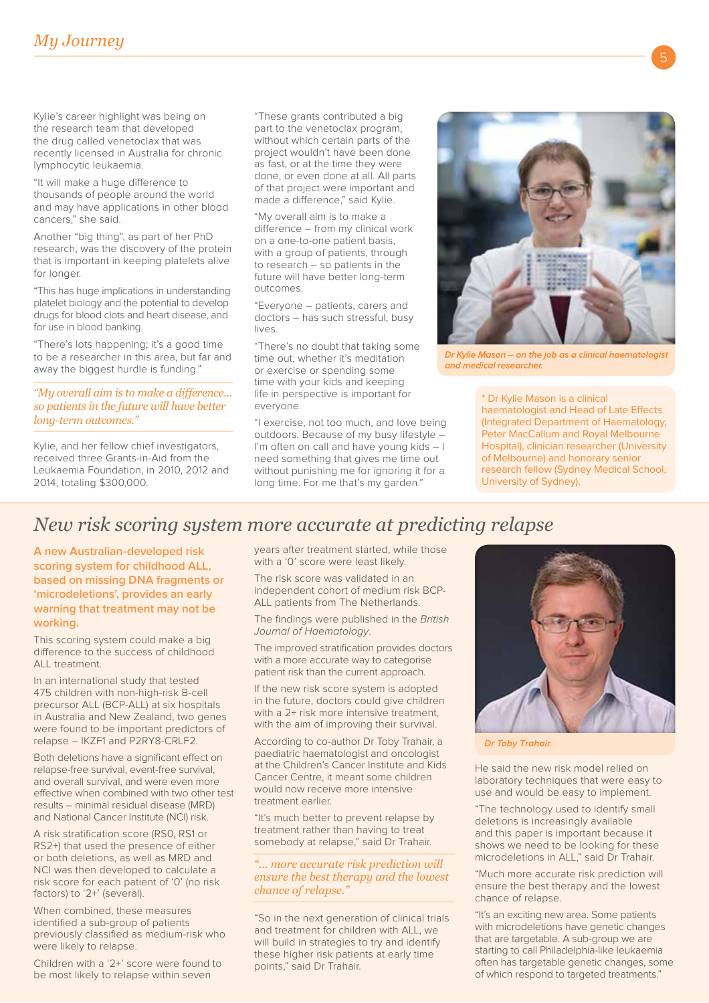### *My Journey*

Kylie's career highlight was being on the research team that developed the drug called venetoclax that was recently licensed in Australia for chronic lymphocytic leukaemia.

"It will make a huge diference to thousands of people around the world and may have applications in other blood cancers," she said.

Another "big thing", as part of her PhD research, was the discovery of the protein that is important in keeping platelets alive for longer.

"This has huge implications in understanding platelet biology and the potential to develop drugs for blood clots and heart disease, and for use in blood banking.

"There's lots happening; it's a good time to be a researcher in this area, but far and away the biggest hurdle is funding."

*"My overall aim is to make a diference... so patients in the future will have better long-term outcomes."* 

Kylie, and her fellow chief investigators, received three Grants-in-Aid from the Leukaemia Foundation, in 2010, 2012 and 2014, totaling \$300,000.

"These grants contributed a big part to the venetoclax program, without which certain parts of the project wouldn't have been done as fast, or at the time they were done, or even done at all. All parts of that project were important and made a diference," said Kylie.

"My overall aim is to make a diference – from my clinical work on a one-to-one patient basis, with a group of patients, through to research – so patients in the future will have better long-term outcomes.

"Everyone – patients, carers and doctors – has such stressful, busy lives.

"There's no doubt that taking some time out, whether it's meditation or exercise or spending some time with your kids and keeping life in perspective is important for everyone.

"I exercise, not too much, and love being outdoors. Because of my busy lifestyle – I'm often on call and have young kids - I need something that gives me time out without punishing me for ignoring it for a long time. For me that's my garden."



Dr Kylie Mason - on the job as a clinical haematologist and medical researcher.

\* Dr Kylie Mason is a clinical haematologist and Head of Late Efects (Integrated Department of Haematology, Peter MacCallum and Royal Melbourne Hospital), clinician researcher (University of Melbourne) and honorary senior research fellow (Sydney Medical School, University of Sydney).

### *New risk scoring system more accurate at predicting relapse*

**A new Australian-developed risk scoring system for childhood ALL, based on missing DNA fragments or 'microdeletions', provides an early warning that treatment may not be working.**

This scoring system could make a big diference to the success of childhood ALL treatment.

In an international study that tested 475 children with non-high-risk B-cell precursor ALL (BCP-ALL) at six hospitals in Australia and New Zealand, two genes were found to be important predictors of relapse – IKZF1 and P2RY8-CRLF2.

Both deletions have a significant efect on relapse-free survival, event-free survival, and overall survival, and were even more efective when combined with two other test results – minimal residual disease (MRD) and National Cancer Institute (NCI) risk.

A risk stratification score (RS0, RS1 or RS2+) that used the presence of either or both deletions, as well as MRD and NCI was then developed to calculate a risk score for each patient of '0' (no risk factors) to '2+' (several).

When combined, these measures identified a sub-group of patients previously classified as medium-risk who were likely to relapse.

Children with a '2+' score were found to be most likely to relapse within seven

years after treatment started, while those with a '0' score were least likely.

The risk score was validated in an independent cohort of medium risk BCP-ALL patients from The Netherlands.

The findings were published in the British Journal of Haematology.

The improved stratification provides doctors with a more accurate way to categorise patient risk than the current approach.

If the new risk score system is adopted in the future, doctors could give children with a 2+ risk more intensive treatment. with the aim of improving their survival.

According to co-author Dr Toby Trahair, a paediatric haematologist and oncologist at the Children's Cancer Institute and Kids Cancer Centre, it meant some children would now receive more intensive treatment earlier.

"It's much better to prevent relapse by treatment rather than having to treat somebody at relapse," said Dr Trahair.

*"... more accurate risk prediction will ensure the best therapy and the lowest chance of relapse."*

"So in the next generation of clinical trials and treatment for children with ALL, we will build in strategies to try and identify these higher risk patients at early time points," said Dr Trahair.



Dr Toby Trahair.

He said the new risk model relied on laboratory techniques that were easy to use and would be easy to implement.

"The technology used to identify small deletions is increasingly available and this paper is important because it shows we need to be looking for these microdeletions in ALL," said Dr Trahair.

"Much more accurate risk prediction will ensure the best therapy and the lowest chance of relapse.

"It's an exciting new area. Some patients with microdeletions have genetic changes that are targetable. A sub-group we are starting to call Philadelphia-like leukaemia often has targetable genetic changes, some of which respond to targeted treatments."

5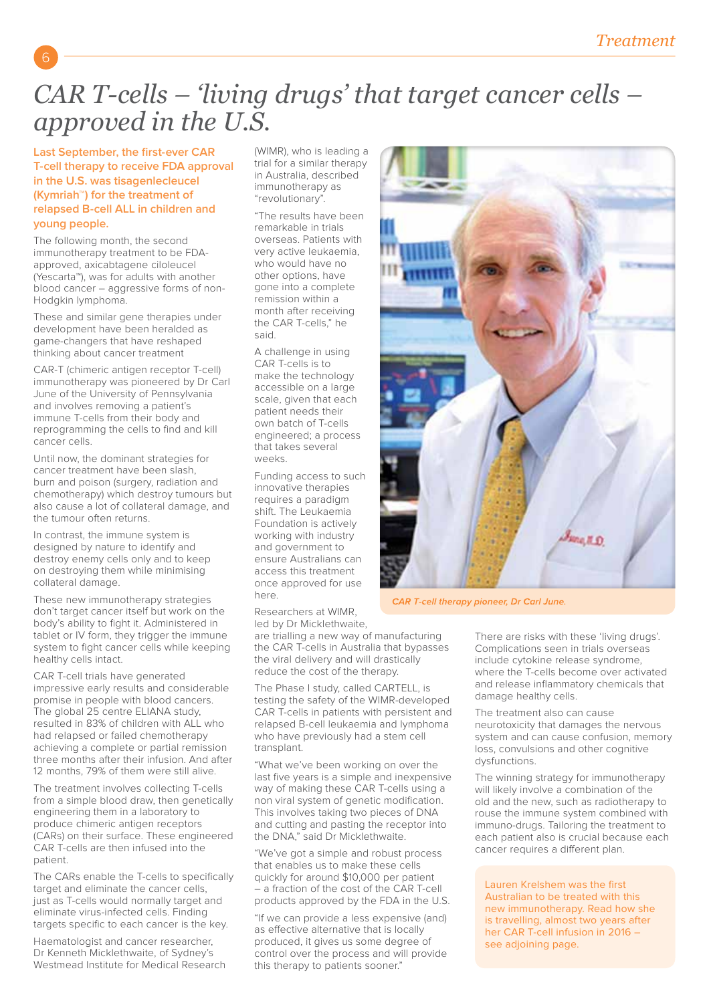## *CAR T-cells – 'living drugs' that target cancer cells – approved in the U.S.*

**Last September, the first-ever CAR T-cell therapy to receive FDA approval in the U.S. was tisagenlecleucel (Kymriah™) for the treatment of relapsed B-cell ALL in children and young people.** 

6

The following month, the second immunotherapy treatment to be FDAapproved, axicabtagene ciloleucel (Yescarta™), was for adults with another blood cancer – aggressive forms of non-Hodgkin lymphoma.

These and similar gene therapies under development have been heralded as game-changers that have reshaped thinking about cancer treatment

CAR-T (chimeric antigen receptor T-cell) immunotherapy was pioneered by Dr Carl June of the University of Pennsylvania and involves removing a patient's immune T-cells from their body and reprogramming the cells to find and kill cancer cells.

Until now, the dominant strategies for cancer treatment have been slash, burn and poison (surgery, radiation and chemotherapy) which destroy tumours but also cause a lot of collateral damage, and the tumour often returns.

In contrast, the immune system is designed by nature to identify and destroy enemy cells only and to keep on destroying them while minimising collateral damage.

These new immunotherapy strategies don't target cancer itself but work on the body's ability to fight it. Administered in tablet or IV form, they trigger the immune system to fight cancer cells while keeping healthy cells intact.

CAR T-cell trials have generated impressive early results and considerable promise in people with blood cancers. The global 25 centre ELIANA study, resulted in 83% of children with ALL who had relapsed or failed chemotherapy achieving a complete or partial remission three months after their infusion. And after 12 months, 79% of them were still alive.

The treatment involves collecting T-cells from a simple blood draw, then genetically engineering them in a laboratory to produce chimeric antigen receptors (CARs) on their surface. These engineered CAR T-cells are then infused into the patient.

The CARs enable the T-cells to specifically target and eliminate the cancer cells, just as T-cells would normally target and eliminate virus-infected cells. Finding targets specific to each cancer is the key.

Haematologist and cancer researcher, Dr Kenneth Micklethwaite, of Sydney's Westmead Institute for Medical Research (WIMR), who is leading a trial for a similar therapy in Australia, described immunotherapy as "revolutionary".

"The results have been remarkable in trials overseas. Patients with very active leukaemia, who would have no other options, have gone into a complete remission within a month after receiving the CAR T-cells," he said.

A challenge in using CAR T-cells is to make the technology accessible on a large scale, given that each patient needs their own batch of T-cells engineered; a process that takes several weeks.

Funding access to such innovative therapies requires a paradigm shift. The Leukaemia Foundation is actively working with industry and government to ensure Australians can access this treatment once approved for use here.

Researchers at WIMR, led by Dr Micklethwaite,

are trialling a new way of manufacturing the CAR T-cells in Australia that bypasses the viral delivery and will drastically reduce the cost of the therapy.

The Phase I study, called CARTELL, is testing the safety of the WIMR-developed CAR T-cells in patients with persistent and relapsed B-cell leukaemia and lymphoma who have previously had a stem cell transplant.

"What we've been working on over the last five years is a simple and inexpensive way of making these CAR T-cells using a non viral system of genetic modification. This involves taking two pieces of DNA and cutting and pasting the receptor into the DNA," said Dr Micklethwaite.

"We've got a simple and robust process that enables us to make these cells quickly for around \$10,000 per patient – a fraction of the cost of the CAR T-cell products approved by the FDA in the U.S.

"If we can provide a less expensive (and) as efective alternative that is locally produced, it gives us some degree of control over the process and will provide this therapy to patients sooner."



CAR T-cell therapy pioneer, Dr Carl June.

There are risks with these 'living drugs'. Complications seen in trials overseas include cytokine release syndrome, where the T-cells become over activated and release inflammatory chemicals that damage healthy cells.

The treatment also can cause neurotoxicity that damages the nervous system and can cause confusion, memory loss, convulsions and other cognitive dysfunctions.

The winning strategy for immunotherapy will likely involve a combination of the old and the new, such as radiotherapy to rouse the immune system combined with immuno-drugs. Tailoring the treatment to each patient also is crucial because each cancer requires a diferent plan.

Lauren Krelshem was the first Australian to be treated with this new immunotherapy. Read how she is travelling, almost two years after her CAR T-cell infusion in 2016 – see adjoining page.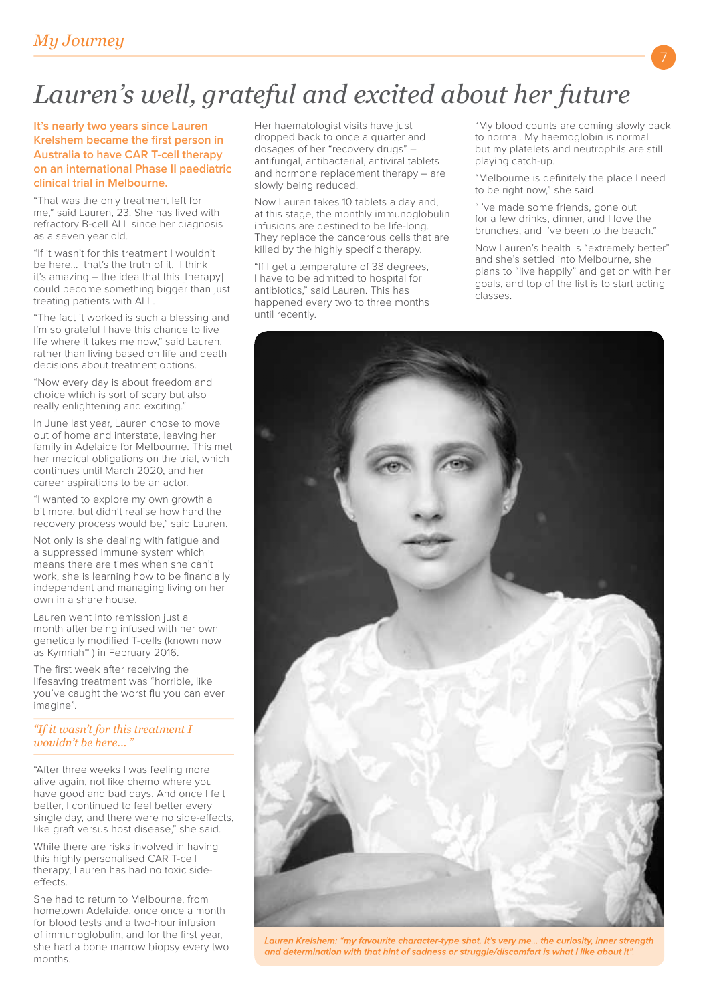# *Lauren's well, grateful and excited about her future*

**It's nearly two years since Lauren Krelshem became the first person in Australia to have CAR T-cell therapy on an international Phase II paediatric clinical trial in Melbourne.**

"That was the only treatment left for me," said Lauren, 23. She has lived with refractory B-cell ALL since her diagnosis as a seven year old.

"If it wasn't for this treatment I wouldn't be here... that's the truth of it. I think it's amazing – the idea that this [therapy] could become something bigger than just treating patients with ALL.

"The fact it worked is such a blessing and I'm so grateful I have this chance to live life where it takes me now," said Lauren, rather than living based on life and death decisions about treatment options.

"Now every day is about freedom and choice which is sort of scary but also really enlightening and exciting."

In June last year, Lauren chose to move out of home and interstate, leaving her family in Adelaide for Melbourne. This met her medical obligations on the trial, which continues until March 2020, and her career aspirations to be an actor.

"I wanted to explore my own growth a bit more, but didn't realise how hard the recovery process would be," said Lauren.

Not only is she dealing with fatigue and a suppressed immune system which means there are times when she can't work, she is learning how to be financially independent and managing living on her own in a share house.

Lauren went into remission just a month after being infused with her own genetically modified T-cells (known now as Kymriah™ ) in February 2016.

The first week after receiving the lifesaving treatment was "horrible, like you've caught the worst flu you can ever imagine".

### *"If it wasn't for this treatment I wouldn't be here...*

"After three weeks I was feeling more alive again, not like chemo where you have good and bad days. And once I felt better, I continued to feel better every single day, and there were no side-efects, like graft versus host disease," she said.

While there are risks involved in having this highly personalised CAR T-cell therapy, Lauren has had no toxic sideeffects

She had to return to Melbourne, from hometown Adelaide, once once a month for blood tests and a two-hour infusion of immunoglobulin, and for the first year, she had a bone marrow biopsy every two months.

Her haematologist visits have just dropped back to once a quarter and dosages of her "recovery drugs" – antifungal, antibacterial, antiviral tablets and hormone replacement therapy – are slowly being reduced.

Now Lauren takes 10 tablets a day and, at this stage, the monthly immunoglobulin infusions are destined to be life-long. They replace the cancerous cells that are killed by the highly specific therapy.

"If I get a temperature of 38 degrees, I have to be admitted to hospital for antibiotics," said Lauren. This has happened every two to three months until recently.

"My blood counts are coming slowly back to normal. My haemoglobin is normal but my platelets and neutrophils are still playing catch-up.

"Melbourne is definitely the place I need to be right now," she said.

"I've made some friends, gone out for a few drinks, dinner, and I love the brunches, and I've been to the beach."

Now Lauren's health is "extremely better" and she's settled into Melbourne, she plans to "live happily" and get on with her goals, and top of the list is to start acting classes.



Lauren Krelshem: "my favourite character-type shot. It's very me... the curiosity, inner strength and determination with that hint of sadness or struggle/discomfort is what I like about it".